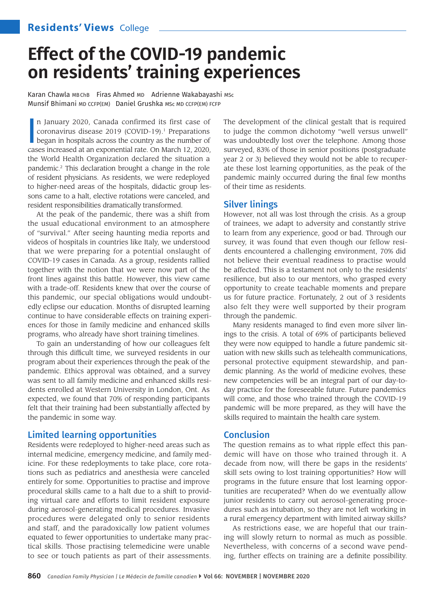# **Effect of the COVID-19 pandemic on residents' training experiences**

Karan Chawla MBChB Firas Ahmed MD Adrienne Wakabayashi MSc Munsif Bhimani MD CCFP(EM) Daniel Grushka MSc MD CCFP(EM) FCFP

In January 2020, Canada confirmed its first case of coronavirus disease 2019 (COVID-19).<sup>1</sup> Preparations began in hospitals across the country as the number of cases increased at an exponential rate. On March 12, 2020, n January 2020, Canada confirmed its first case of coronavirus disease 2019 (COVID-19).<sup>1</sup> Preparations began in hospitals across the country as the number of the World Health Organization declared the situation a pandemic.2 This declaration brought a change in the role of resident physicians. As residents, we were redeployed to higher-need areas of the hospitals, didactic group lessons came to a halt, elective rotations were canceled, and resident responsibilities dramatically transformed.

At the peak of the pandemic, there was a shift from the usual educational environment to an atmosphere of "survival." After seeing haunting media reports and videos of hospitals in countries like Italy, we understood that we were preparing for a potential onslaught of COVID-19 cases in Canada. As a group, residents rallied together with the notion that we were now part of the front lines against this battle. However, this view came with a trade-off. Residents knew that over the course of this pandemic, our special obligations would undoubtedly eclipse our education. Months of disrupted learning continue to have considerable effects on training experiences for those in family medicine and enhanced skills programs, who already have short training timelines.

To gain an understanding of how our colleagues felt through this difficult time, we surveyed residents in our program about their experiences through the peak of the pandemic. Ethics approval was obtained, and a survey was sent to all family medicine and enhanced skills residents enrolled at Western University in London, Ont. As expected, we found that 70% of responding participants felt that their training had been substantially affected by the pandemic in some way.

## Limited learning opportunities

Residents were redeployed to higher-need areas such as internal medicine, emergency medicine, and family medicine. For these redeployments to take place, core rotations such as pediatrics and anesthesia were canceled entirely for some. Opportunities to practise and improve procedural skills came to a halt due to a shift to providing virtual care and efforts to limit resident exposure during aerosol-generating medical procedures. Invasive procedures were delegated only to senior residents and staff, and the paradoxically low patient volumes equated to fewer opportunities to undertake many practical skills. Those practising telemedicine were unable to see or touch patients as part of their assessments. The development of the clinical gestalt that is required to judge the common dichotomy "well versus unwell" was undoubtedly lost over the telephone. Among those surveyed, 83% of those in senior positions (postgraduate year 2 or 3) believed they would not be able to recuperate these lost learning opportunities, as the peak of the pandemic mainly occurred during the final few months of their time as residents.

## Silver linings

However, not all was lost through the crisis. As a group of trainees, we adapt to adversity and constantly strive to learn from any experience, good or bad. Through our survey, it was found that even though our fellow residents encountered a challenging environment, 70% did not believe their eventual readiness to practise would be affected. This is a testament not only to the residents' resilience, but also to our mentors, who grasped every opportunity to create teachable moments and prepare us for future practice. Fortunately, 2 out of 3 residents also felt they were well supported by their program through the pandemic.

Many residents managed to find even more silver linings to the crisis. A total of 69% of participants believed they were now equipped to handle a future pandemic situation with new skills such as telehealth communications, personal protective equipment stewardship, and pandemic planning. As the world of medicine evolves, these new competencies will be an integral part of our day-today practice for the foreseeable future. Future pandemics will come, and those who trained through the COVID-19 pandemic will be more prepared, as they will have the skills required to maintain the health care system.

## Conclusion

The question remains as to what ripple effect this pandemic will have on those who trained through it. A decade from now, will there be gaps in the residents' skill sets owing to lost training opportunities? How will programs in the future ensure that lost learning opportunities are recuperated? When do we eventually allow junior residents to carry out aerosol-generating procedures such as intubation, so they are not left working in a rural emergency department with limited airway skills?

As restrictions ease, we are hopeful that our training will slowly return to normal as much as possible. Nevertheless, with concerns of a second wave pending, further effects on training are a definite possibility.